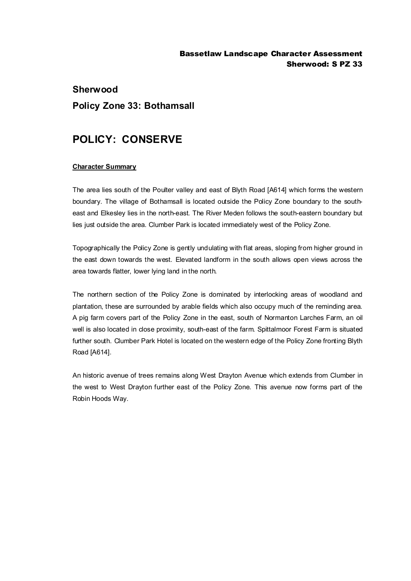### Bassetlaw Landscape Character Assessment Sherwood: S PZ 33

# **Sherwood Policy Zone 33: Bothamsall**

## **POLICY: CONSERVE**

#### **Character Summary**

The area lies south of the Poulter valley and east of Blyth Road [A614] which forms the western boundary. The village of Bothamsall is located outside the Policy Zone boundary to the southeast and Elkesley lies in the north-east. The River Meden follows the south-eastern boundary but lies just outside the area. Clumber Park is located immediately west of the Policy Zone.

Topographically the Policy Zone is gently undulating with flat areas, sloping from higher ground in the east down towards the west. Elevated landform in the south allows open views across the area towards flatter, lower lying land in the north.

The northern section of the Policy Zone is dominated by interlocking areas of woodland and plantation, these are surrounded by arable fields which also occupy much of the reminding area. A pig farm covers part of the Policy Zone in the east, south of Normanton Larches Farm, an oil well is also located in close proximity, south-east of the farm. Spittalmoor Forest Farm is situated further south. Clumber Park Hotel is located on the western edge of the Policy Zone fronting Blyth Road [A614].

An historic avenue of trees remains along West Drayton Avenue which extends from Clumber in the west to West Drayton further east of the Policy Zone. This avenue now forms part of the Robin Hoods Way.